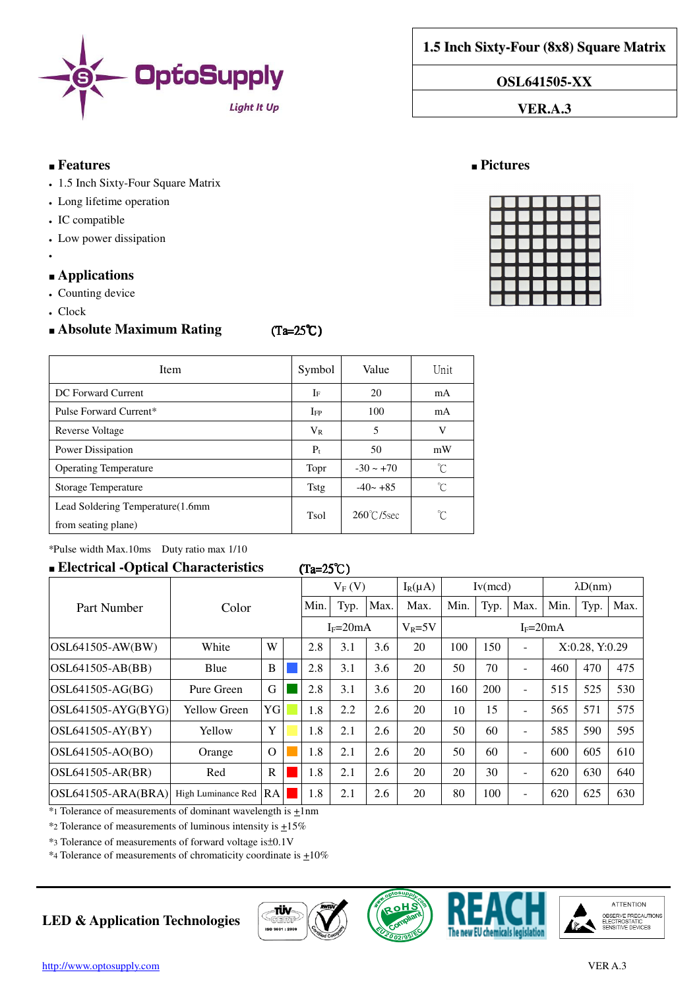

**1.5 Inch Sixty-Four (8x8) Square Matrix**

**OSL641505-XX** 

**VER.A.3** 

### ■ **Features** ■ **Pictures**

- 1.5 Inch Sixty-Four Square Matrix
- Long lifetime operation
- IC compatible
- Low power dissipation
- ●

### ■ **Applications**

- Counting device
- Clock

## ■ **Absolute Maximum Rating (Ta=25℃)**

| <b>Item</b>                                               | Symbol       | Value                | Unit |
|-----------------------------------------------------------|--------------|----------------------|------|
| DC Forward Current                                        | $I_F$        | 20                   | mA   |
| Pulse Forward Current*                                    | $_{\rm IFP}$ | 100                  | mA   |
| Reverse Voltage                                           | $V_{R}$      | 5                    | V    |
| Power Dissipation                                         | $P_t$        | 50                   | mW   |
| <b>Operating Temperature</b>                              | Topr         | $-30 \sim +70$       | ົົ   |
| Storage Temperature                                       | <b>Tstg</b>  | $-40 - +85$          | 'n   |
| Lead Soldering Temperature (1.6mm)<br>from seating plane) | Tsol         | $260^{\circ}$ C/5sec | ົົ   |

\*Pulse width Max.10ms Duty ratio max 1/10

## ■ **Electrical -Optical Characteristics** (Ta=25℃ (Ta=25℃)

|                        |                     |              | $V_F(V)$ |              | $I_R(\mu A)$ | Iv(mcd)    |      | $\lambda D(nm)$ |                          |              |                |      |
|------------------------|---------------------|--------------|----------|--------------|--------------|------------|------|-----------------|--------------------------|--------------|----------------|------|
| Part Number            | Color               |              | Min.     | Typ.         | Max.         | Max.       | Min. | Typ.            | Max.                     | Min.         | Typ.           | Max. |
|                        |                     |              |          | $I_F = 20mA$ |              | $V_R = 5V$ |      |                 |                          | $I_F = 20mA$ |                |      |
| $OSL641505-AW(BW)$     | White               | W            | 2.8      | 3.1          | 3.6          | 20         | 100  | 150             |                          |              | X:0.28, Y:0.29 |      |
| $OSL641505-AB(BB)$     | Blue                | B            | 2.8      | 3.1          | 3.6          | 20         | 50   | 70              | $\overline{\phantom{0}}$ | 460          | 470            | 475  |
| $OSL641505-AG(BG)$     | Pure Green          | G            | 2.8      | 3.1          | 3.6          | 20         | 160  | 200             | Ξ.                       | 515          | 525            | 530  |
| $ OSL641505-AYG(BYG) $ | <b>Yellow Green</b> | YG           | 1.8      | 2.2          | 2.6          | 20         | 10   | 15              | $\overline{\phantom{0}}$ | 565          | 571            | 575  |
| $OSL641505$ -AY(BY)    | Yellow              | Y            | 1.8      | 2.1          | 2.6          | 20         | 50   | 60              | $\sim$                   | 585          | 590            | 595  |
| OSL641505-AO(BO)       | Orange              | $\Omega$     | 1.8      | 2.1          | 2.6          | 20         | 50   | 60              | $\overline{\phantom{0}}$ | 600          | 605            | 610  |
| $OSL641505-AR(BR)$     | Red                 | $\mathbb{R}$ | 1.8      | 2.1          | 2.6          | 20         | 20   | 30              | -                        | 620          | 630            | 640  |
| $OSL641505-ARA(BRA)$   | High Luminance Red  | RA           | 1.8      | 2.1          | 2.6          | 20         | 80   | 100             | ٠                        | 620          | 625            | 630  |

 $*$ 1 Tolerance of measurements of dominant wavelength is  $\pm$ 1nm

 $*$ 2 Tolerance of measurements of luminous intensity is  $\pm$ 15%

\*3 Tolerance of measurements of forward voltage is±0.1V

 $*$ 4 Tolerance of measurements of chromaticity coordinate is  $\pm 10\%$ 

# **LED & Application Technologies**









|  | <b>UUUUUUU</b> |  |
|--|----------------|--|
|  | ,,,,,,,,       |  |
|  | ,,,,,,,,,      |  |
|  | ,,,,,,,,,      |  |
|  | ,,,,,,,,,      |  |
|  | ,,,,,,,,       |  |
|  | ,,,,,,,,,      |  |
|  | ,,,,,,,,,      |  |